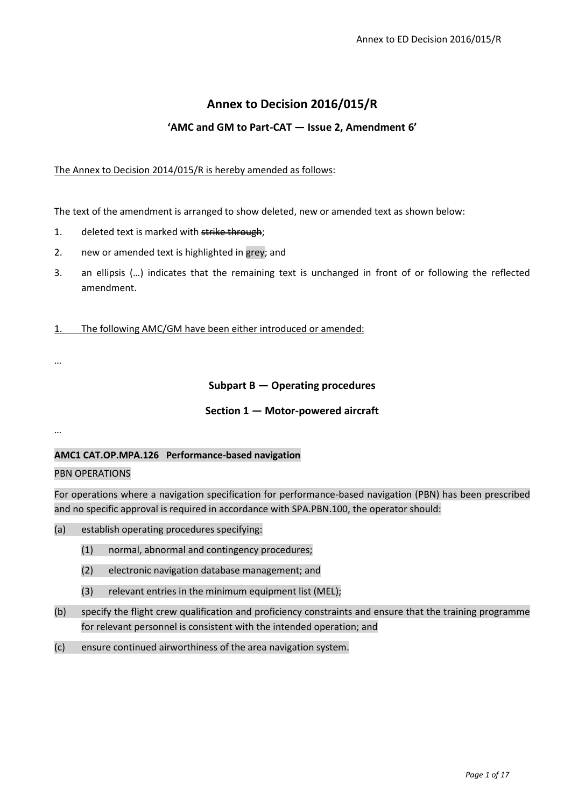# **Annex to Decision 2016/015/R**

# **'AMC and GM to Part-CAT — Issue 2, Amendment 6'**

### The Annex to Decision 2014/015/R is hereby amended as follows:

The text of the amendment is arranged to show deleted, new or amended text as shown below:

- 1. deleted text is marked with strike through;
- 2. new or amended text is highlighted in grey; and
- 3. an ellipsis (…) indicates that the remaining text is unchanged in front of or following the reflected amendment.
- 1. The following AMC/GM have been either introduced or amended:

…

### **Subpart B — Operating procedures**

### **Section 1 — Motor-powered aircraft**

…

### **AMC1 CAT.OP.MPA.126 Performance-based navigation**

#### PBN OPERATIONS

For operations where a navigation specification for performance-based navigation (PBN) has been prescribed and no specific approval is required in accordance with SPA.PBN.100, the operator should:

- (a) establish operating procedures specifying:
	- (1) normal, abnormal and contingency procedures;
	- (2) electronic navigation database management; and
	- (3) relevant entries in the minimum equipment list (MEL);
- (b) specify the flight crew qualification and proficiency constraints and ensure that the training programme for relevant personnel is consistent with the intended operation; and
- (c) ensure continued airworthiness of the area navigation system.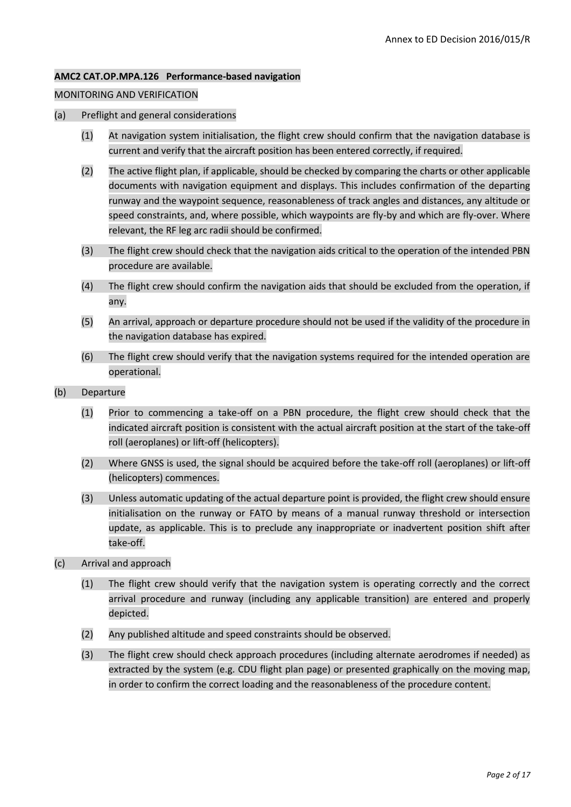### **AMC2 CAT.OP.MPA.126 Performance-based navigation**

### MONITORING AND VERIFICATION

- (a) Preflight and general considerations
	- (1) At navigation system initialisation, the flight crew should confirm that the navigation database is current and verify that the aircraft position has been entered correctly, if required.
	- (2) The active flight plan, if applicable, should be checked by comparing the charts or other applicable documents with navigation equipment and displays. This includes confirmation of the departing runway and the waypoint sequence, reasonableness of track angles and distances, any altitude or speed constraints, and, where possible, which waypoints are fly-by and which are fly-over. Where relevant, the RF leg arc radii should be confirmed.
	- (3) The flight crew should check that the navigation aids critical to the operation of the intended PBN procedure are available.
	- (4) The flight crew should confirm the navigation aids that should be excluded from the operation, if any.
	- (5) An arrival, approach or departure procedure should not be used if the validity of the procedure in the navigation database has expired.
	- (6) The flight crew should verify that the navigation systems required for the intended operation are operational.
- (b) Departure
	- (1) Prior to commencing a take-off on a PBN procedure, the flight crew should check that the indicated aircraft position is consistent with the actual aircraft position at the start of the take-off roll (aeroplanes) or lift-off (helicopters).
	- (2) Where GNSS is used, the signal should be acquired before the take-off roll (aeroplanes) or lift-off (helicopters) commences.
	- (3) Unless automatic updating of the actual departure point is provided, the flight crew should ensure initialisation on the runway or FATO by means of a manual runway threshold or intersection update, as applicable. This is to preclude any inappropriate or inadvertent position shift after take-off.
- (c) Arrival and approach
	- (1) The flight crew should verify that the navigation system is operating correctly and the correct arrival procedure and runway (including any applicable transition) are entered and properly depicted.
	- (2) Any published altitude and speed constraints should be observed.
	- (3) The flight crew should check approach procedures (including alternate aerodromes if needed) as extracted by the system (e.g. CDU flight plan page) or presented graphically on the moving map, in order to confirm the correct loading and the reasonableness of the procedure content.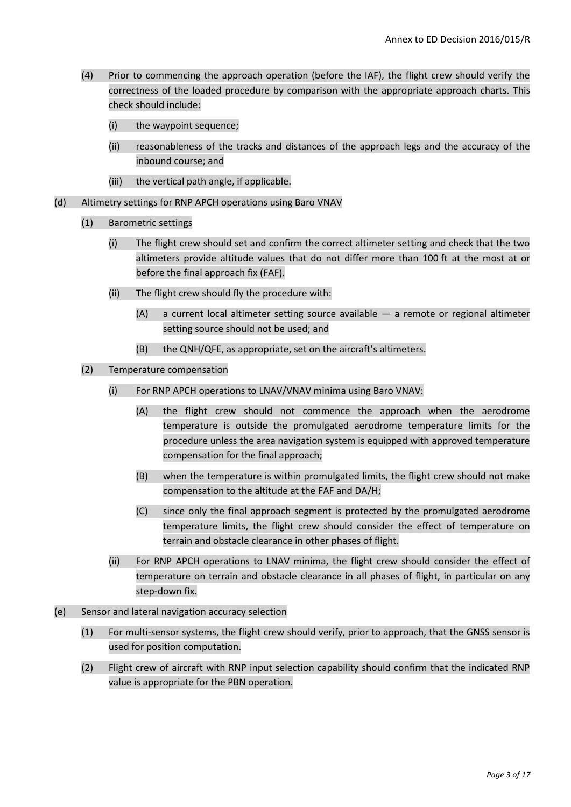- (4) Prior to commencing the approach operation (before the IAF), the flight crew should verify the correctness of the loaded procedure by comparison with the appropriate approach charts. This check should include:
	- (i) the waypoint sequence;
	- (ii) reasonableness of the tracks and distances of the approach legs and the accuracy of the inbound course; and
	- (iii) the vertical path angle, if applicable.
- (d) Altimetry settings for RNP APCH operations using Baro VNAV
	- (1) Barometric settings
		- (i) The flight crew should set and confirm the correct altimeter setting and check that the two altimeters provide altitude values that do not differ more than 100 ft at the most at or before the final approach fix (FAF).
		- (ii) The flight crew should fly the procedure with:
			- (A) a current local altimeter setting source available a remote or regional altimeter setting source should not be used; and
			- (B) the QNH/QFE, as appropriate, set on the aircraft's altimeters.
	- (2) Temperature compensation
		- (i) For RNP APCH operations to LNAV/VNAV minima using Baro VNAV:
			- (A) the flight crew should not commence the approach when the aerodrome temperature is outside the promulgated aerodrome temperature limits for the procedure unless the area navigation system is equipped with approved temperature compensation for the final approach;
			- (B) when the temperature is within promulgated limits, the flight crew should not make compensation to the altitude at the FAF and DA/H;
			- (C) since only the final approach segment is protected by the promulgated aerodrome temperature limits, the flight crew should consider the effect of temperature on terrain and obstacle clearance in other phases of flight.
		- (ii) For RNP APCH operations to LNAV minima, the flight crew should consider the effect of temperature on terrain and obstacle clearance in all phases of flight, in particular on any step-down fix.
- (e) Sensor and lateral navigation accuracy selection
	- (1) For multi-sensor systems, the flight crew should verify, prior to approach, that the GNSS sensor is used for position computation.
	- (2) Flight crew of aircraft with RNP input selection capability should confirm that the indicated RNP value is appropriate for the PBN operation.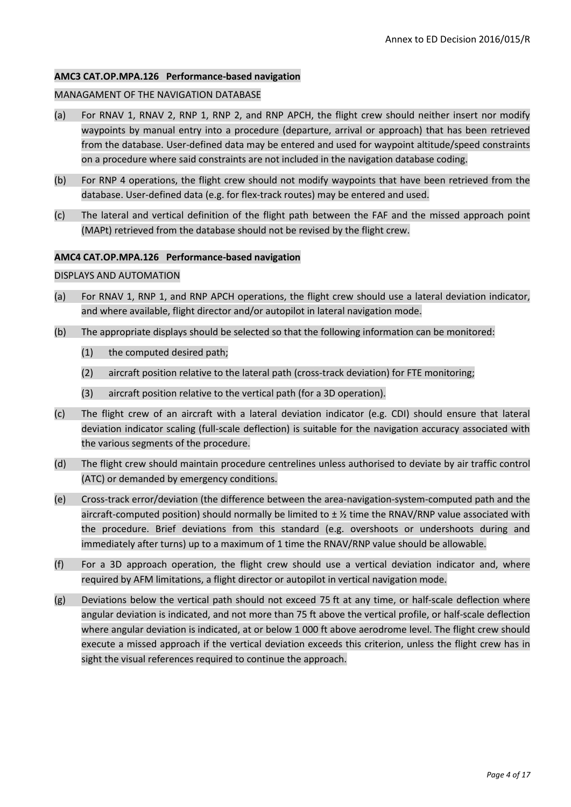#### **AMC3 CAT.OP.MPA.126 Performance-based navigation**

#### MANAGAMENT OF THE NAVIGATION DATABASE

- (a) For RNAV 1, RNAV 2, RNP 1, RNP 2, and RNP APCH, the flight crew should neither insert nor modify waypoints by manual entry into a procedure (departure, arrival or approach) that has been retrieved from the database. User-defined data may be entered and used for waypoint altitude/speed constraints on a procedure where said constraints are not included in the navigation database coding.
- (b) For RNP 4 operations, the flight crew should not modify waypoints that have been retrieved from the database. User-defined data (e.g. for flex-track routes) may be entered and used.
- (c) The lateral and vertical definition of the flight path between the FAF and the missed approach point (MAPt) retrieved from the database should not be revised by the flight crew.

#### **AMC4 CAT.OP.MPA.126 Performance-based navigation**

#### DISPLAYS AND AUTOMATION

- (a) For RNAV 1, RNP 1, and RNP APCH operations, the flight crew should use a lateral deviation indicator, and where available, flight director and/or autopilot in lateral navigation mode.
- (b) The appropriate displays should be selected so that the following information can be monitored:
	- (1) the computed desired path;
	- (2) aircraft position relative to the lateral path (cross-track deviation) for FTE monitoring;
	- (3) aircraft position relative to the vertical path (for a 3D operation).
- (c) The flight crew of an aircraft with a lateral deviation indicator (e.g. CDI) should ensure that lateral deviation indicator scaling (full-scale deflection) is suitable for the navigation accuracy associated with the various segments of the procedure.
- (d) The flight crew should maintain procedure centrelines unless authorised to deviate by air traffic control (ATC) or demanded by emergency conditions.
- (e) Cross-track error/deviation (the difference between the area-navigation-system-computed path and the aircraft-computed position) should normally be limited to  $\pm$  % time the RNAV/RNP value associated with the procedure. Brief deviations from this standard (e.g. overshoots or undershoots during and immediately after turns) up to a maximum of 1 time the RNAV/RNP value should be allowable.
- (f) For a 3D approach operation, the flight crew should use a vertical deviation indicator and, where required by AFM limitations, a flight director or autopilot in vertical navigation mode.
- (g) Deviations below the vertical path should not exceed 75 ft at any time, or half-scale deflection where angular deviation is indicated, and not more than 75 ft above the vertical profile, or half-scale deflection where angular deviation is indicated, at or below 1 000 ft above aerodrome level. The flight crew should execute a missed approach if the vertical deviation exceeds this criterion, unless the flight crew has in sight the visual references required to continue the approach.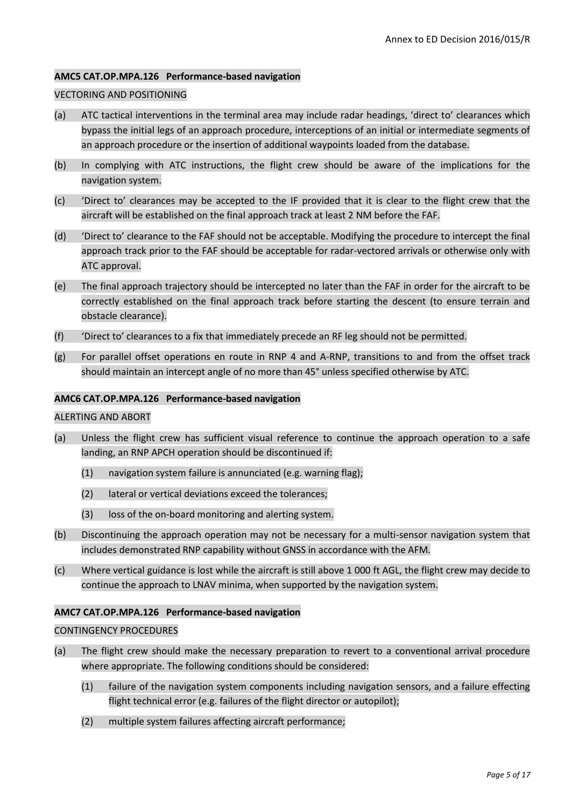### **AMC5 CAT.OP.MPA.126 Performance-based navigation**

# VECTORING AND POSITIONING

- (a) ATC tactical interventions in the terminal area may include radar headings, 'direct to' clearances which bypass the initial legs of an approach procedure, interceptions of an initial or intermediate segments of an approach procedure or the insertion of additional waypoints loaded from the database.
- (b) In complying with ATC instructions, the flight crew should be aware of the implications for the navigation system.
- (c) 'Direct to' clearances may be accepted to the IF provided that it is clear to the flight crew that the aircraft will be established on the final approach track at least 2 NM before the FAF.
- (d) 'Direct to' clearance to the FAF should not be acceptable. Modifying the procedure to intercept the final approach track prior to the FAF should be acceptable for radar-vectored arrivals or otherwise only with ATC approval.
- (e) The final approach trajectory should be intercepted no later than the FAF in order for the aircraft to be correctly established on the final approach track before starting the descent (to ensure terrain and obstacle clearance).
- (f) 'Direct to' clearances to a fix that immediately precede an RF leg should not be permitted.
- (g) For parallel offset operations en route in RNP 4 and A-RNP, transitions to and from the offset track should maintain an intercept angle of no more than 45° unless specified otherwise by ATC.

#### **AMC6 CAT.OP.MPA.126 Performance-based navigation**

### ALERTING AND ABORT

- (a) Unless the flight crew has sufficient visual reference to continue the approach operation to a safe landing, an RNP APCH operation should be discontinued if:
	- (1) navigation system failure is annunciated (e.g. warning flag);
	- (2) lateral or vertical deviations exceed the tolerances;
	- (3) loss of the on-board monitoring and alerting system.
- (b) Discontinuing the approach operation may not be necessary for a multi-sensor navigation system that includes demonstrated RNP capability without GNSS in accordance with the AFM.
- (c) Where vertical guidance is lost while the aircraft is still above 1 000 ft AGL, the flight crew may decide to continue the approach to LNAV minima, when supported by the navigation system.

### **AMC7 CAT.OP.MPA.126 Performance-based navigation**

### CONTINGENCY PROCEDURES

- (a) The flight crew should make the necessary preparation to revert to a conventional arrival procedure where appropriate. The following conditions should be considered:
	- (1) failure of the navigation system components including navigation sensors, and a failure effecting flight technical error (e.g. failures of the flight director or autopilot);
	- (2) multiple system failures affecting aircraft performance;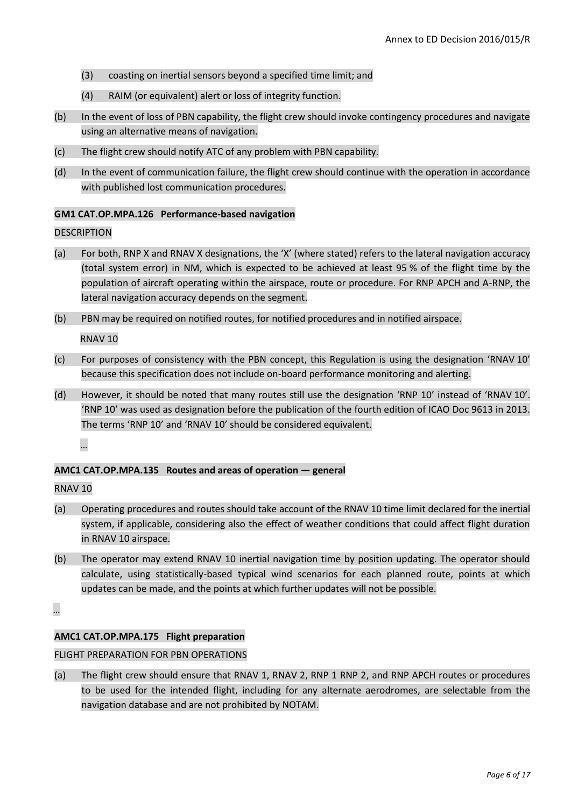- (3) coasting on inertial sensors beyond a specified time limit; and
- (4) RAIM (or equivalent) alert or loss of integrity function.
- (b) In the event of loss of PBN capability, the flight crew should invoke contingency procedures and navigate using an alternative means of navigation.
- (c) The flight crew should notify ATC of any problem with PBN capability.
- (d) In the event of communication failure, the flight crew should continue with the operation in accordance with published lost communication procedures.

### **GM1 CAT.OP.MPA.126 Performance-based navigation**

### **DESCRIPTION**

- (a) For both, RNP X and RNAV X designations, the 'X' (where stated) refers to the lateral navigation accuracy (total system error) in NM, which is expected to be achieved at least 95 % of the flight time by the population of aircraft operating within the airspace, route or procedure. For RNP APCH and A-RNP, the lateral navigation accuracy depends on the segment.
- (b) PBN may be required on notified routes, for notified procedures and in notified airspace.

RNAV 10

- (c) For purposes of consistency with the PBN concept, this Regulation is using the designation 'RNAV 10' because this specification does not include on-board performance monitoring and alerting.
- (d) However, it should be noted that many routes still use the designation 'RNP 10' instead of 'RNAV 10'. 'RNP 10' was used as designation before the publication of the fourth edition of ICAO Doc 9613 in 2013. The terms 'RNP 10' and 'RNAV 10' should be considered equivalent.

…

# **AMC1 CAT.OP.MPA.135 Routes and areas of operation — general**

### RNAV 10

- (a) Operating procedures and routes should take account of the RNAV 10 time limit declared for the inertial system, if applicable, considering also the effect of weather conditions that could affect flight duration in RNAV 10 airspace.
- (b) The operator may extend RNAV 10 inertial navigation time by position updating. The operator should calculate, using statistically-based typical wind scenarios for each planned route, points at which updates can be made, and the points at which further updates will not be possible.

…

### **AMC1 CAT.OP.MPA.175 Flight preparation**

### FLIGHT PREPARATION FOR PBN OPERATIONS

(a) The flight crew should ensure that RNAV 1, RNAV 2, RNP 1 RNP 2, and RNP APCH routes or procedures to be used for the intended flight, including for any alternate aerodromes, are selectable from the navigation database and are not prohibited by NOTAM.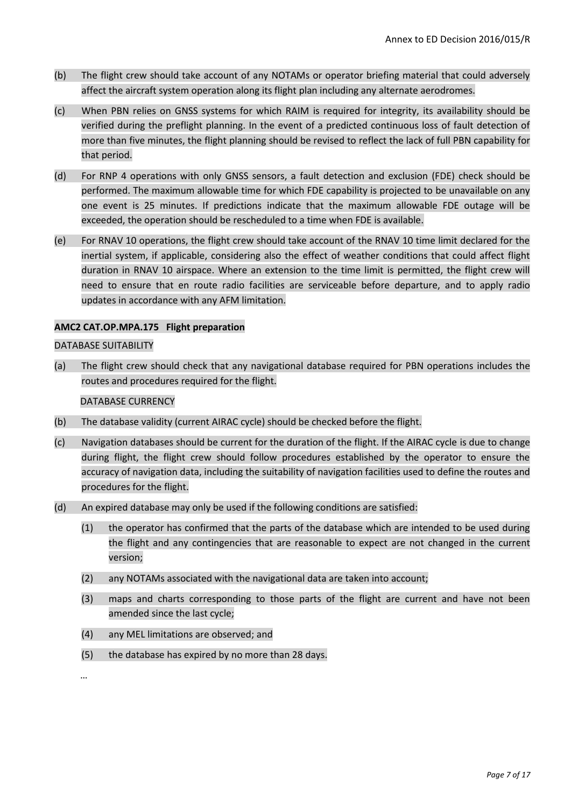- (b) The flight crew should take account of any NOTAMs or operator briefing material that could adversely affect the aircraft system operation along its flight plan including any alternate aerodromes.
- (c) When PBN relies on GNSS systems for which RAIM is required for integrity, its availability should be verified during the preflight planning. In the event of a predicted continuous loss of fault detection of more than five minutes, the flight planning should be revised to reflect the lack of full PBN capability for that period.
- (d) For RNP 4 operations with only GNSS sensors, a fault detection and exclusion (FDE) check should be performed. The maximum allowable time for which FDE capability is projected to be unavailable on any one event is 25 minutes. If predictions indicate that the maximum allowable FDE outage will be exceeded, the operation should be rescheduled to a time when FDE is available.
- (e) For RNAV 10 operations, the flight crew should take account of the RNAV 10 time limit declared for the inertial system, if applicable, considering also the effect of weather conditions that could affect flight duration in RNAV 10 airspace. Where an extension to the time limit is permitted, the flight crew will need to ensure that en route radio facilities are serviceable before departure, and to apply radio updates in accordance with any AFM limitation.

### **AMC2 CAT.OP.MPA.175 Flight preparation**

### DATABASE SUITABILITY

(a) The flight crew should check that any navigational database required for PBN operations includes the routes and procedures required for the flight.

DATABASE CURRENCY

- (b) The database validity (current AIRAC cycle) should be checked before the flight.
- (c) Navigation databases should be current for the duration of the flight. If the AIRAC cycle is due to change during flight, the flight crew should follow procedures established by the operator to ensure the accuracy of navigation data, including the suitability of navigation facilities used to define the routes and procedures for the flight.
- (d) An expired database may only be used if the following conditions are satisfied:
	- (1) the operator has confirmed that the parts of the database which are intended to be used during the flight and any contingencies that are reasonable to expect are not changed in the current version;
	- (2) any NOTAMs associated with the navigational data are taken into account;
	- (3) maps and charts corresponding to those parts of the flight are current and have not been amended since the last cycle;
	- (4) any MEL limitations are observed; and
	- (5) the database has expired by no more than 28 days.

…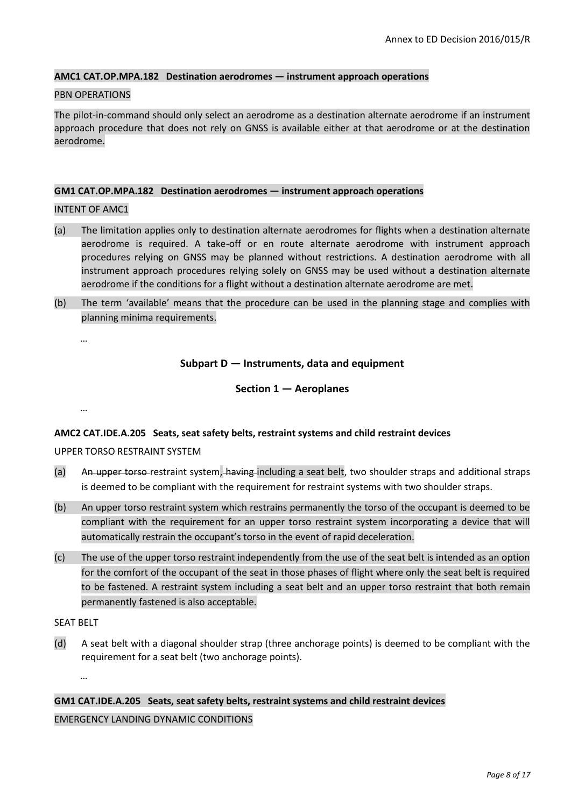#### **AMC1 CAT.OP.MPA.182 Destination aerodromes — instrument approach operations**

### PBN OPERATIONS

The pilot-in-command should only select an aerodrome as a destination alternate aerodrome if an instrument approach procedure that does not rely on GNSS is available either at that aerodrome or at the destination aerodrome.

#### **GM1 CAT.OP.MPA.182 Destination aerodromes — instrument approach operations**

#### INTENT OF AMC1

- (a) The limitation applies only to destination alternate aerodromes for flights when a destination alternate aerodrome is required. A take-off or en route alternate aerodrome with instrument approach procedures relying on GNSS may be planned without restrictions. A destination aerodrome with all instrument approach procedures relying solely on GNSS may be used without a destination alternate aerodrome if the conditions for a flight without a destination alternate aerodrome are met.
- (b) The term 'available' means that the procedure can be used in the planning stage and complies with planning minima requirements.

…

…

### **Subpart D — Instruments, data and equipment**

#### **Section 1 — Aeroplanes**

### **AMC2 CAT.IDE.A.205 Seats, seat safety belts, restraint systems and child restraint devices**

### UPPER TORSO RESTRAINT SYSTEM

- (a) An upper torso-restraint system, having including a seat belt, two shoulder straps and additional straps is deemed to be compliant with the requirement for restraint systems with two shoulder straps.
- (b) An upper torso restraint system which restrains permanently the torso of the occupant is deemed to be compliant with the requirement for an upper torso restraint system incorporating a device that will automatically restrain the occupant's torso in the event of rapid deceleration.
- (c) The use of the upper torso restraint independently from the use of the seat belt is intended as an option for the comfort of the occupant of the seat in those phases of flight where only the seat belt is required to be fastened. A restraint system including a seat belt and an upper torso restraint that both remain permanently fastened is also acceptable.

SEAT BELT

…

(d) A seat belt with a diagonal shoulder strap (three anchorage points) is deemed to be compliant with the requirement for a seat belt (two anchorage points).

**GM1 CAT.IDE.A.205 Seats, seat safety belts, restraint systems and child restraint devices** EMERGENCY LANDING DYNAMIC CONDITIONS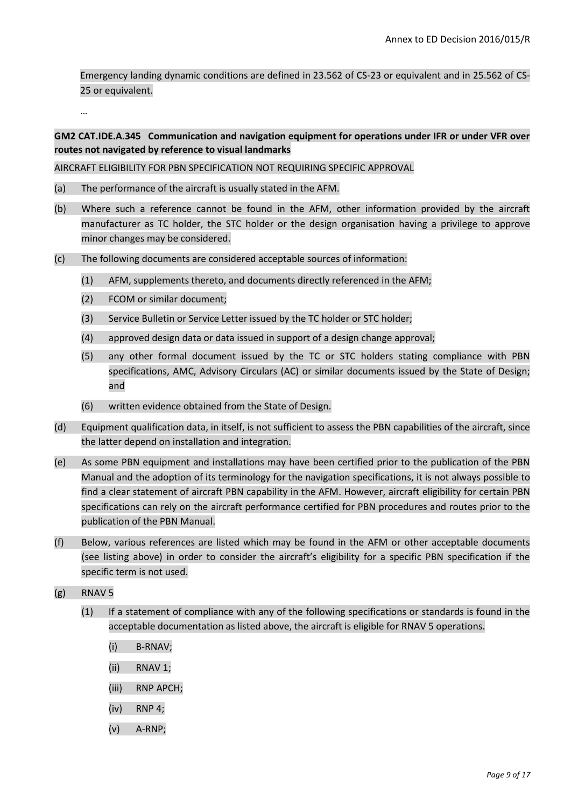Emergency landing dynamic conditions are defined in 23.562 of CS-23 or equivalent and in 25.562 of CS-25 or equivalent.

…

# **GM2 CAT.IDE.A.345 Communication and navigation equipment for operations under IFR or under VFR over routes not navigated by reference to visual landmarks**

AIRCRAFT ELIGIBILITY FOR PBN SPECIFICATION NOT REQUIRING SPECIFIC APPROVAL

- (a) The performance of the aircraft is usually stated in the AFM.
- (b) Where such a reference cannot be found in the AFM, other information provided by the aircraft manufacturer as TC holder, the STC holder or the design organisation having a privilege to approve minor changes may be considered.
- (c) The following documents are considered acceptable sources of information:
	- (1) AFM, supplements thereto, and documents directly referenced in the AFM;
	- (2) FCOM or similar document;
	- (3) Service Bulletin or Service Letter issued by the TC holder or STC holder;
	- (4) approved design data or data issued in support of a design change approval;
	- (5) any other formal document issued by the TC or STC holders stating compliance with PBN specifications, AMC, Advisory Circulars (AC) or similar documents issued by the State of Design; and
	- (6) written evidence obtained from the State of Design.
- (d) Equipment qualification data, in itself, is not sufficient to assess the PBN capabilities of the aircraft, since the latter depend on installation and integration.
- (e) As some PBN equipment and installations may have been certified prior to the publication of the PBN Manual and the adoption of its terminology for the navigation specifications, it is not always possible to find a clear statement of aircraft PBN capability in the AFM. However, aircraft eligibility for certain PBN specifications can rely on the aircraft performance certified for PBN procedures and routes prior to the publication of the PBN Manual.
- (f) Below, various references are listed which may be found in the AFM or other acceptable documents (see listing above) in order to consider the aircraft's eligibility for a specific PBN specification if the specific term is not used.
- (g) RNAV 5
	- (1) If a statement of compliance with any of the following specifications or standards is found in the acceptable documentation as listed above, the aircraft is eligible for RNAV 5 operations.
		- (i) B-RNAV;
		- (ii) RNAV 1;
		- (iii) RNP APCH;
		- (iv) RNP 4;
		- (v) A-RNP;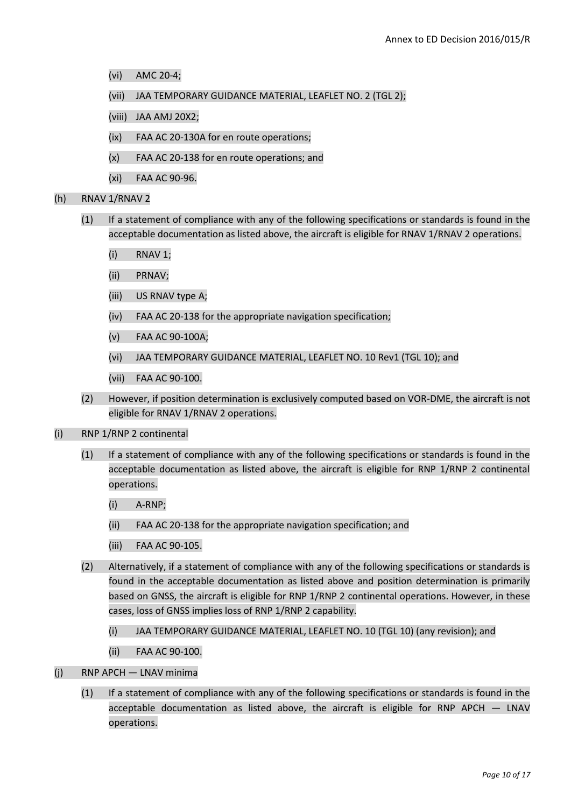- (vi) AMC 20-4;
- (vii) JAA TEMPORARY GUIDANCE MATERIAL, LEAFLET NO. 2 (TGL 2);
- (viii) JAA AMJ 20X2;
- (ix) FAA AC 20-130A for en route operations;
- (x) FAA AC 20-138 for en route operations; and
- (xi) FAA AC 90-96.

(h) RNAV 1/RNAV 2

- (1) If a statement of compliance with any of the following specifications or standards is found in the acceptable documentation as listed above, the aircraft is eligible for RNAV 1/RNAV 2 operations.
	- (i) RNAV 1;
	- (ii) PRNAV;
	- (iii) US RNAV type A;
	- (iv) FAA AC 20-138 for the appropriate navigation specification;
	- (v) FAA AC 90-100A;
	- (vi) JAA TEMPORARY GUIDANCE MATERIAL, LEAFLET NO. 10 Rev1 (TGL 10); and
	- (vii) FAA AC 90-100.
- (2) However, if position determination is exclusively computed based on VOR-DME, the aircraft is not eligible for RNAV 1/RNAV 2 operations.
- (i) RNP 1/RNP 2 continental
	- (1) If a statement of compliance with any of the following specifications or standards is found in the acceptable documentation as listed above, the aircraft is eligible for RNP 1/RNP 2 continental operations.
		- (i) A-RNP;
		- (ii) FAA AC 20-138 for the appropriate navigation specification; and
		- (iii) FAA AC 90-105.
	- (2) Alternatively, if a statement of compliance with any of the following specifications or standards is found in the acceptable documentation as listed above and position determination is primarily based on GNSS, the aircraft is eligible for RNP 1/RNP 2 continental operations. However, in these cases, loss of GNSS implies loss of RNP 1/RNP 2 capability.
		- (i) JAA TEMPORARY GUIDANCE MATERIAL, LEAFLET NO. 10 (TGL 10) (any revision); and
		- (ii) FAA AC 90-100.
- (j) RNP APCH LNAV minima
	- (1) If a statement of compliance with any of the following specifications or standards is found in the acceptable documentation as listed above, the aircraft is eligible for RNP APCH — LNAV operations.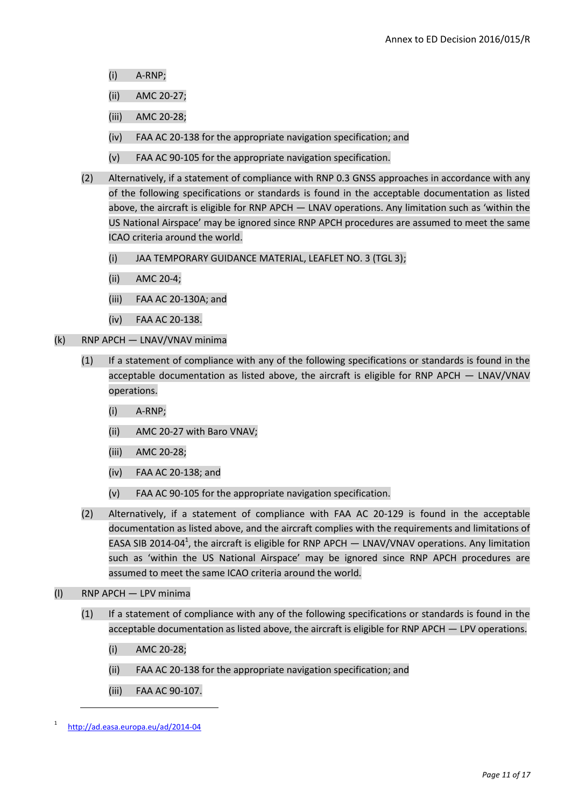- (i) A-RNP;
- (ii) AMC 20-27;
- (iii) AMC 20-28;
- (iv) FAA AC 20-138 for the appropriate navigation specification; and
- (v) FAA AC 90-105 for the appropriate navigation specification.
- (2) Alternatively, if a statement of compliance with RNP 0.3 GNSS approaches in accordance with any of the following specifications or standards is found in the acceptable documentation as listed above, the aircraft is eligible for RNP APCH — LNAV operations. Any limitation such as 'within the US National Airspace' may be ignored since RNP APCH procedures are assumed to meet the same ICAO criteria around the world.
	- (i) JAA TEMPORARY GUIDANCE MATERIAL, LEAFLET NO. 3 (TGL 3);
	- (ii) AMC 20-4;
	- (iii) FAA AC 20-130A; and
	- (iv) FAA AC 20-138.
- (k) RNP APCH LNAV/VNAV minima
	- (1) If a statement of compliance with any of the following specifications or standards is found in the acceptable documentation as listed above, the aircraft is eligible for RNP APCH — LNAV/VNAV operations.
		- (i) A-RNP;
		- (ii) AMC 20-27 with Baro VNAV;
		- (iii) AMC 20-28;
		- (iv) FAA AC 20-138; and
		- (v) FAA AC 90-105 for the appropriate navigation specification.
	- (2) Alternatively, if a statement of compliance with FAA AC 20-129 is found in the acceptable documentation as listed above, and the aircraft complies with the requirements and limitations of EASA SIB 2014-04<sup>1</sup>, the aircraft is eligible for RNP APCH  $-$  LNAV/VNAV operations. Any limitation such as 'within the US National Airspace' may be ignored since RNP APCH procedures are assumed to meet the same ICAO criteria around the world.
- (l) RNP APCH LPV minima
	- (1) If a statement of compliance with any of the following specifications or standards is found in the acceptable documentation as listed above, the aircraft is eligible for RNP APCH — LPV operations.
		- (i) AMC 20-28;
		- (ii) FAA AC 20-138 for the appropriate navigation specification; and
		- (iii) FAA AC 90-107.

**.** 

<sup>1</sup> <http://ad.easa.europa.eu/ad/2014-04>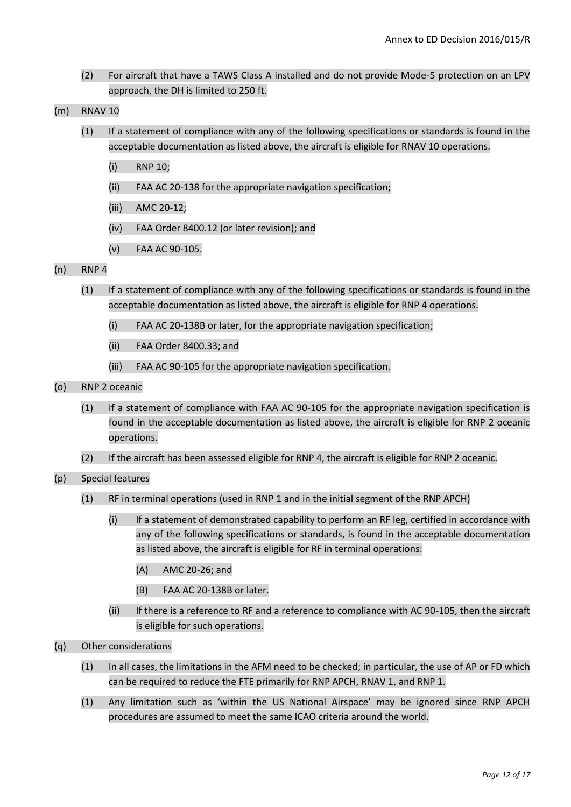- (2) For aircraft that have a TAWS Class A installed and do not provide Mode-5 protection on an LPV approach, the DH is limited to 250 ft.
- (m) RNAV 10
	- (1) If a statement of compliance with any of the following specifications or standards is found in the acceptable documentation as listed above, the aircraft is eligible for RNAV 10 operations.
		- (i) RNP 10;
		- (ii) FAA AC 20-138 for the appropriate navigation specification;
		- (iii) AMC 20-12;
		- (iv) FAA Order 8400.12 (or later revision); and
		- (v) FAA AC 90-105.
- (n) RNP 4
	- (1) If a statement of compliance with any of the following specifications or standards is found in the acceptable documentation as listed above, the aircraft is eligible for RNP 4 operations.
		- (i) FAA AC 20-138B or later, for the appropriate navigation specification;
		- (ii) FAA Order 8400.33; and
		- (iii) FAA AC 90-105 for the appropriate navigation specification.
- (o) RNP 2 oceanic
	- (1) If a statement of compliance with FAA AC 90-105 for the appropriate navigation specification is found in the acceptable documentation as listed above, the aircraft is eligible for RNP 2 oceanic operations.
	- (2) If the aircraft has been assessed eligible for RNP 4, the aircraft is eligible for RNP 2 oceanic.
- (p) Special features
	- (1) RF in terminal operations (used in RNP 1 and in the initial segment of the RNP APCH)
		- (i) If a statement of demonstrated capability to perform an RF leg, certified in accordance with any of the following specifications or standards, is found in the acceptable documentation as listed above, the aircraft is eligible for RF in terminal operations:
			- (A) AMC 20-26; and
			- (B) FAA AC 20-138B or later.
		- (ii) If there is a reference to RF and a reference to compliance with AC 90-105, then the aircraft is eligible for such operations.
- (q) Other considerations
	- (1) In all cases, the limitations in the AFM need to be checked; in particular, the use of AP or FD which can be required to reduce the FTE primarily for RNP APCH, RNAV 1, and RNP 1.
	- (1) Any limitation such as 'within the US National Airspace' may be ignored since RNP APCH procedures are assumed to meet the same ICAO criteria around the world.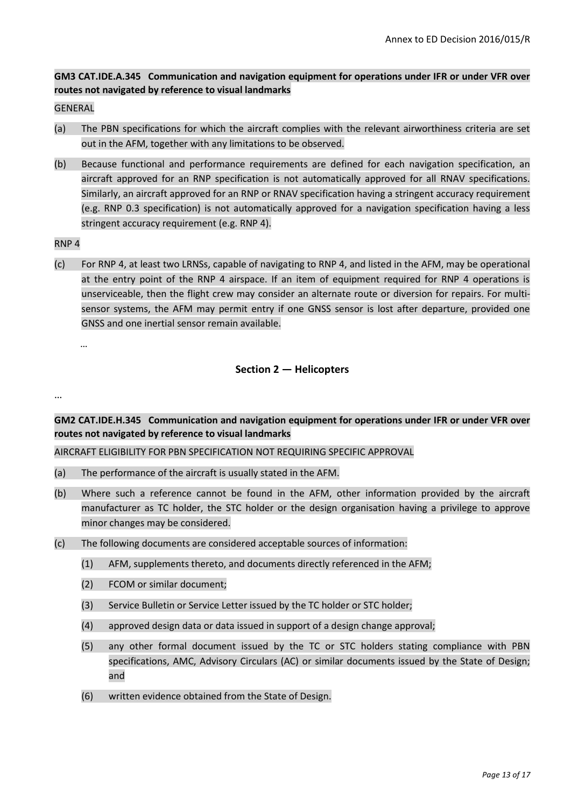# **GM3 CAT.IDE.A.345 Communication and navigation equipment for operations under IFR or under VFR over routes not navigated by reference to visual landmarks**

### GENERAL

- (a) The PBN specifications for which the aircraft complies with the relevant airworthiness criteria are set out in the AFM, together with any limitations to be observed.
- (b) Because functional and performance requirements are defined for each navigation specification, an aircraft approved for an RNP specification is not automatically approved for all RNAV specifications. Similarly, an aircraft approved for an RNP or RNAV specification having a stringent accuracy requirement (e.g. RNP 0.3 specification) is not automatically approved for a navigation specification having a less stringent accuracy requirement (e.g. RNP 4).

### RNP 4

(c) For RNP 4, at least two LRNSs, capable of navigating to RNP 4, and listed in the AFM, may be operational at the entry point of the RNP 4 airspace. If an item of equipment required for RNP 4 operations is unserviceable, then the flight crew may consider an alternate route or diversion for repairs. For multisensor systems, the AFM may permit entry if one GNSS sensor is lost after departure, provided one GNSS and one inertial sensor remain available.

…

# **Section 2 — Helicopters**

…

**GM2 CAT.IDE.H.345 Communication and navigation equipment for operations under IFR or under VFR over routes not navigated by reference to visual landmarks**

AIRCRAFT ELIGIBILITY FOR PBN SPECIFICATION NOT REQUIRING SPECIFIC APPROVAL

- (a) The performance of the aircraft is usually stated in the AFM.
- (b) Where such a reference cannot be found in the AFM, other information provided by the aircraft manufacturer as TC holder, the STC holder or the design organisation having a privilege to approve minor changes may be considered.
- (c) The following documents are considered acceptable sources of information:
	- (1) AFM, supplements thereto, and documents directly referenced in the AFM;
	- (2) FCOM or similar document;
	- (3) Service Bulletin or Service Letter issued by the TC holder or STC holder;
	- (4) approved design data or data issued in support of a design change approval;
	- (5) any other formal document issued by the TC or STC holders stating compliance with PBN specifications, AMC, Advisory Circulars (AC) or similar documents issued by the State of Design; and
	- (6) written evidence obtained from the State of Design.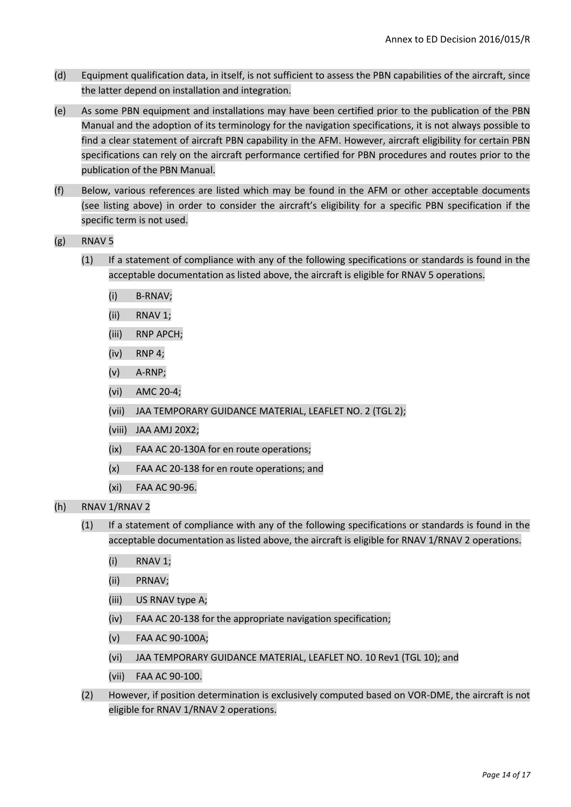- (d) Equipment qualification data, in itself, is not sufficient to assess the PBN capabilities of the aircraft, since the latter depend on installation and integration.
- (e) As some PBN equipment and installations may have been certified prior to the publication of the PBN Manual and the adoption of its terminology for the navigation specifications, it is not always possible to find a clear statement of aircraft PBN capability in the AFM. However, aircraft eligibility for certain PBN specifications can rely on the aircraft performance certified for PBN procedures and routes prior to the publication of the PBN Manual.
- (f) Below, various references are listed which may be found in the AFM or other acceptable documents (see listing above) in order to consider the aircraft's eligibility for a specific PBN specification if the specific term is not used.
- (g) RNAV 5
	- (1) If a statement of compliance with any of the following specifications or standards is found in the acceptable documentation as listed above, the aircraft is eligible for RNAV 5 operations.
		- (i) B-RNAV;
		- (ii) RNAV 1;
		- (iii) RNP APCH;
		- (iv) RNP 4;
		- (v) A-RNP;
		- (vi) AMC 20-4;
		- (vii) JAA TEMPORARY GUIDANCE MATERIAL, LEAFLET NO. 2 (TGL 2);
		- (viii) JAA AMJ 20X2;
		- (ix) FAA AC 20-130A for en route operations;
		- (x) FAA AC 20-138 for en route operations; and
		- (xi) FAA AC 90-96.
- (h) RNAV 1/RNAV 2
	- (1) If a statement of compliance with any of the following specifications or standards is found in the acceptable documentation as listed above, the aircraft is eligible for RNAV 1/RNAV 2 operations.
		- (i) RNAV 1;
		- (ii) PRNAV;
		- (iii) US RNAV type A;
		- (iv) FAA AC 20-138 for the appropriate navigation specification;
		- (v) FAA AC 90-100A;
		- (vi) JAA TEMPORARY GUIDANCE MATERIAL, LEAFLET NO. 10 Rev1 (TGL 10); and
		- (vii) FAA AC 90-100.
	- (2) However, if position determination is exclusively computed based on VOR-DME, the aircraft is not eligible for RNAV 1/RNAV 2 operations.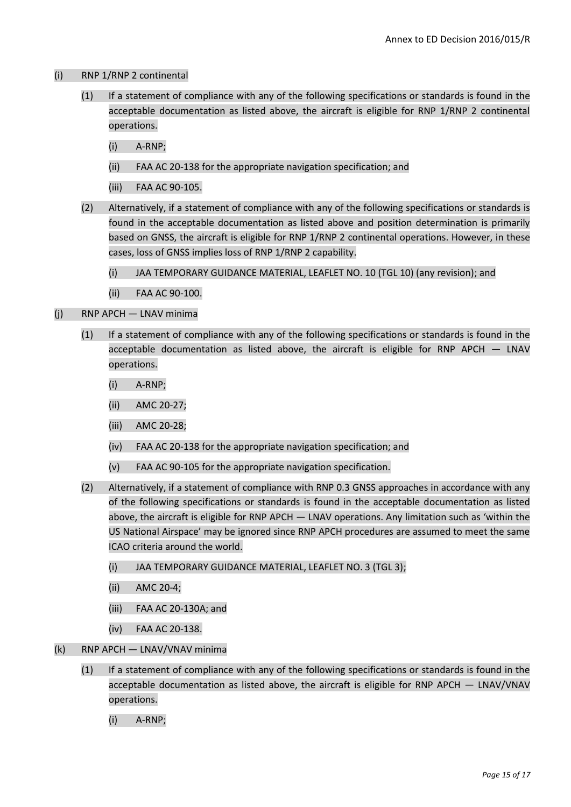## (i) RNP 1/RNP 2 continental

- (1) If a statement of compliance with any of the following specifications or standards is found in the acceptable documentation as listed above, the aircraft is eligible for RNP 1/RNP 2 continental operations.
	- (i) A-RNP;
	- (ii) FAA AC 20-138 for the appropriate navigation specification; and
	- (iii) FAA AC 90-105.
- (2) Alternatively, if a statement of compliance with any of the following specifications or standards is found in the acceptable documentation as listed above and position determination is primarily based on GNSS, the aircraft is eligible for RNP 1/RNP 2 continental operations. However, in these cases, loss of GNSS implies loss of RNP 1/RNP 2 capability.
	- (i) JAA TEMPORARY GUIDANCE MATERIAL, LEAFLET NO. 10 (TGL 10) (any revision); and
	- (ii) FAA AC 90-100.
- (j) RNP APCH LNAV minima
	- (1) If a statement of compliance with any of the following specifications or standards is found in the acceptable documentation as listed above, the aircraft is eligible for RNP APCH — LNAV operations.
		- (i) A-RNP;
		- (ii) AMC 20-27;
		- (iii) AMC 20-28;
		- (iv) FAA AC 20-138 for the appropriate navigation specification; and
		- (v) FAA AC 90-105 for the appropriate navigation specification.
	- (2) Alternatively, if a statement of compliance with RNP 0.3 GNSS approaches in accordance with any of the following specifications or standards is found in the acceptable documentation as listed above, the aircraft is eligible for RNP APCH — LNAV operations. Any limitation such as 'within the US National Airspace' may be ignored since RNP APCH procedures are assumed to meet the same ICAO criteria around the world.
		- (i) JAA TEMPORARY GUIDANCE MATERIAL, LEAFLET NO. 3 (TGL 3);
		- (ii) AMC 20-4;
		- (iii) FAA AC 20-130A; and
		- (iv) FAA AC 20-138.
- (k) RNP APCH LNAV/VNAV minima
	- (1) If a statement of compliance with any of the following specifications or standards is found in the acceptable documentation as listed above, the aircraft is eligible for RNP APCH — LNAV/VNAV operations.
		- (i) A-RNP;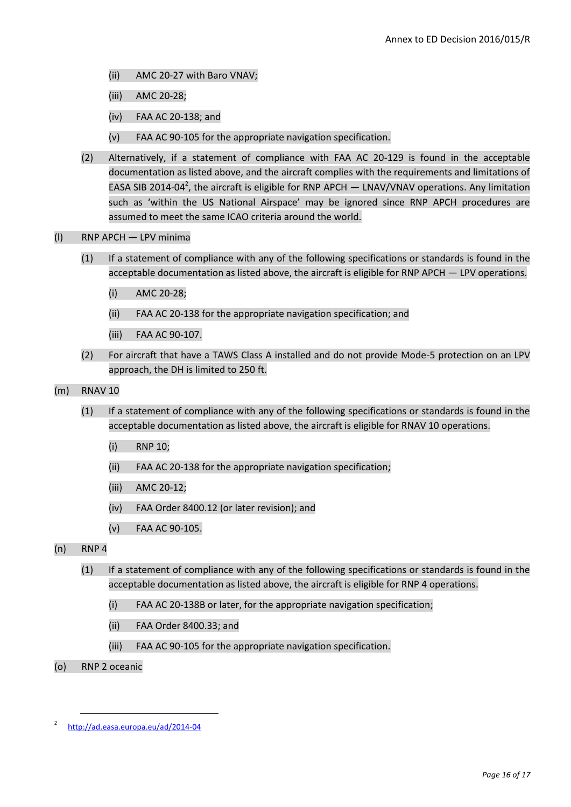- (ii) AMC 20-27 with Baro VNAV;
- (iii) AMC 20-28;
- (iv) FAA AC 20-138; and
- (v) FAA AC 90-105 for the appropriate navigation specification.
- (2) Alternatively, if a statement of compliance with FAA AC 20-129 is found in the acceptable documentation as listed above, and the aircraft complies with the requirements and limitations of EASA SIB 2014-04<sup>2</sup>, the aircraft is eligible for RNP APCH  $-$  LNAV/VNAV operations. Any limitation such as 'within the US National Airspace' may be ignored since RNP APCH procedures are assumed to meet the same ICAO criteria around the world.
- (l) RNP APCH LPV minima
	- (1) If a statement of compliance with any of the following specifications or standards is found in the acceptable documentation as listed above, the aircraft is eligible for RNP APCH — LPV operations.
		- (i) AMC 20-28;
		- (ii) FAA AC 20-138 for the appropriate navigation specification; and
		- (iii) FAA AC 90-107.
	- (2) For aircraft that have a TAWS Class A installed and do not provide Mode-5 protection on an LPV approach, the DH is limited to 250 ft.
- (m) RNAV 10
	- (1) If a statement of compliance with any of the following specifications or standards is found in the acceptable documentation as listed above, the aircraft is eligible for RNAV 10 operations.
		- (i) RNP 10;
		- (ii) FAA AC 20-138 for the appropriate navigation specification;
		- (iii) AMC 20-12;
		- (iv) FAA Order 8400.12 (or later revision); and
		- (v) FAA AC 90-105.
- (n) RNP 4
	- (1) If a statement of compliance with any of the following specifications or standards is found in the acceptable documentation as listed above, the aircraft is eligible for RNP 4 operations.
		- (i) FAA AC 20-138B or later, for the appropriate navigation specification;
		- (ii) FAA Order 8400.33; and
		- (iii) FAA AC 90-105 for the appropriate navigation specification.
- (o) RNP 2 oceanic

**.** 

<sup>2</sup> <http://ad.easa.europa.eu/ad/2014-04>